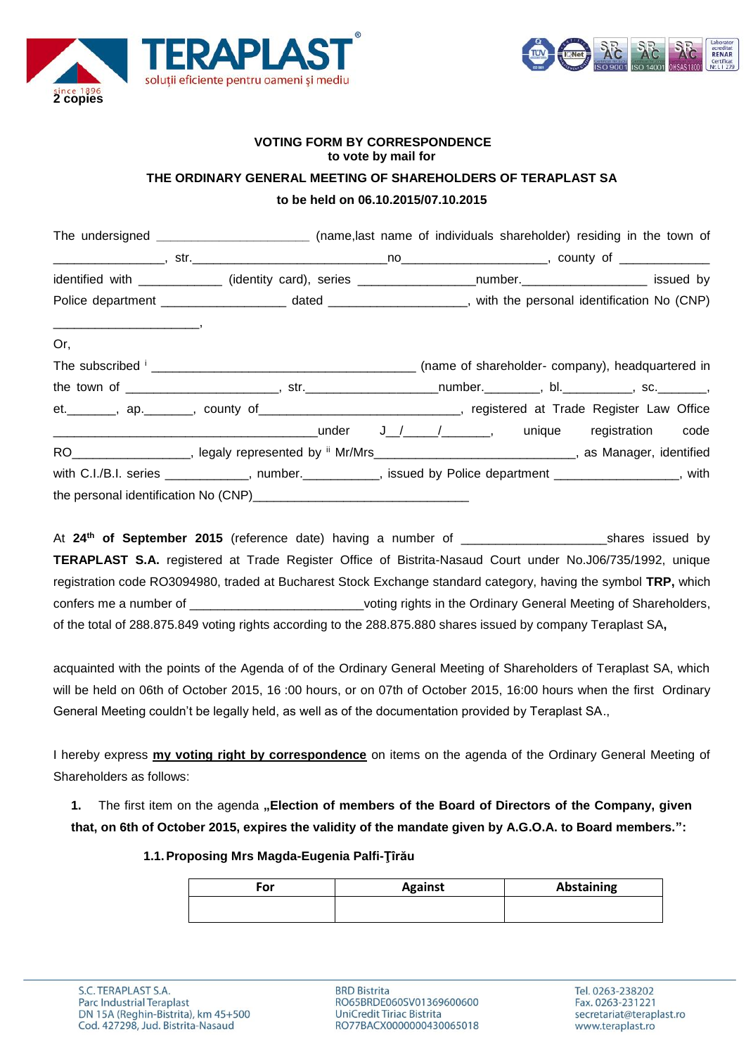



## **VOTING FORM BY CORRESPONDENCE to vote by mail for THE ORDINARY GENERAL MEETING OF SHAREHOLDERS OF TERAPLAST SA**

# **to be held on 06.10.2015/07.10.2015**

|                                                                                                                                                                                                                                                                                                                                                                                                                                                               | The undersigned _____________________________ (name,last name of individuals shareholder) residing in the town of |  |  |  |
|---------------------------------------------------------------------------------------------------------------------------------------------------------------------------------------------------------------------------------------------------------------------------------------------------------------------------------------------------------------------------------------------------------------------------------------------------------------|-------------------------------------------------------------------------------------------------------------------|--|--|--|
|                                                                                                                                                                                                                                                                                                                                                                                                                                                               |                                                                                                                   |  |  |  |
|                                                                                                                                                                                                                                                                                                                                                                                                                                                               | identified with ____________ (identity card), series _____________________number._____________________ issued by  |  |  |  |
|                                                                                                                                                                                                                                                                                                                                                                                                                                                               |                                                                                                                   |  |  |  |
| $\begin{tabular}{cccccc} \multicolumn{2}{c }{\textbf{1} & \multicolumn{2}{c }{\textbf{2} & \multicolumn{2}{c }{\textbf{3} & \multicolumn{2}{c }{\textbf{4} & \multicolumn{2}{c }{\textbf{5} & \multicolumn{2}{c }{\textbf{6} & \multicolumn{2}{c }{\textbf{6} & \multicolumn{2}{c }{\textbf{6} & \multicolumn{2}{c }{\textbf{6} & \multicolumn{2}{c }{\textbf{6} & \multicolumn{2}{c }{\textbf{6} & \multicolumn{2}{c }{\textbf{6} & \multicolumn{2}{$<br>Or, |                                                                                                                   |  |  |  |
|                                                                                                                                                                                                                                                                                                                                                                                                                                                               |                                                                                                                   |  |  |  |
|                                                                                                                                                                                                                                                                                                                                                                                                                                                               |                                                                                                                   |  |  |  |
|                                                                                                                                                                                                                                                                                                                                                                                                                                                               | et. _______, ap. _______, county of _____________________________, registered at Trade Register Law Office        |  |  |  |
|                                                                                                                                                                                                                                                                                                                                                                                                                                                               |                                                                                                                   |  |  |  |
|                                                                                                                                                                                                                                                                                                                                                                                                                                                               | RO__________________, legaly represented by ii Mr/Mrs____________________________, as Manager, identified         |  |  |  |
|                                                                                                                                                                                                                                                                                                                                                                                                                                                               | with C.I./B.I. series ____________, number._________, issued by Police department ______________, with            |  |  |  |
|                                                                                                                                                                                                                                                                                                                                                                                                                                                               |                                                                                                                   |  |  |  |

At **24th of September 2015** (reference date) having a number of \_\_\_\_\_\_\_\_\_\_\_\_\_\_\_\_\_\_\_\_\_shares issued by **TERAPLAST S.A.** registered at Trade Register Office of Bistrita-Nasaud Court under No.J06/735/1992, unique registration code RO3094980, traded at Bucharest Stock Exchange standard category, having the symbol **TRP,** which confers me a number of \_\_\_\_\_\_\_\_\_\_\_\_\_\_\_\_\_\_\_\_\_\_\_\_\_\_\_\_\_\_voting rights in the Ordinary General Meeting of Shareholders, of the total of 288.875.849 voting rights according to the 288.875.880 shares issued by company Teraplast SA**,**

acquainted with the points of the Agenda of of the Ordinary General Meeting of Shareholders of Teraplast SA, which will be held on 06th of October 2015, 16 :00 hours, or on 07th of October 2015, 16:00 hours when the first Ordinary General Meeting couldn't be legally held, as well as of the documentation provided by Teraplast SA.,

I hereby express **my voting right by correspondence** on items on the agenda of the Ordinary General Meeting of Shareholders as follows:

**1.** The first item on the agenda **"Election of members of the Board of Directors of the Company, given that, on 6th of October 2015, expires the validity of the mandate given by A.G.O.A. to Board members.":**

**1.1.Proposing Mrs Magda-Eugenia Palfi-Ţîrău**

| For | <b>Against</b> | <b>Abstaining</b> |
|-----|----------------|-------------------|
|     |                |                   |

**BRD Bistrita** RO65BRDE060SV01369600600 UniCredit Tiriac Bistrita RO77BACX0000000430065018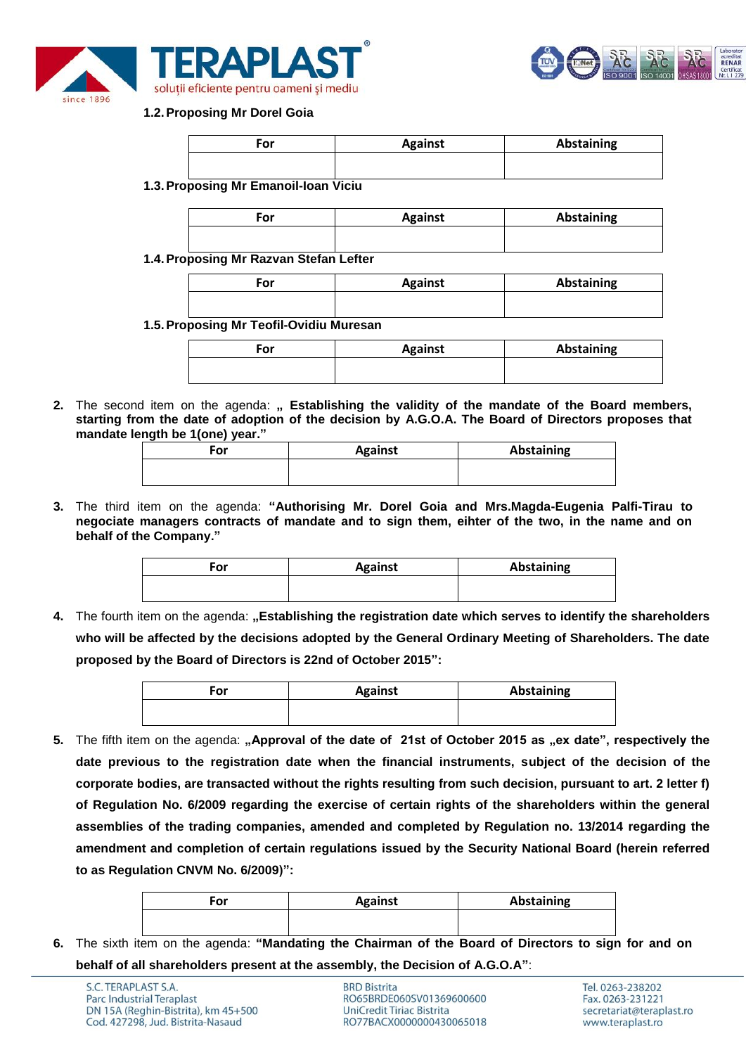



### **1.2.Proposing Mr Dorel Goia**

| For                            | <b>Against</b> | Abstaining |
|--------------------------------|----------------|------------|
|                                |                |            |
|                                |                |            |
| ronocina Mr Emanoil-Ioan Viciu |                |            |

**1.3.Proposing Mr Emanoil-Ioan Viciu**

| or | <b>Against</b> | Abstaining |
|----|----------------|------------|
|    |                |            |

**1.4.Proposing Mr Razvan Stefan Lefter**

| For | <b>Against</b> | <b>Abstaining</b> |
|-----|----------------|-------------------|
|     |                |                   |

**1.5.Proposing Mr Teofil-Ovidiu Muresan**

| For | <b>Against</b> | <b>Abstaining</b> |
|-----|----------------|-------------------|
|     |                |                   |

2. The second item on the agenda: " Establishing the validity of the mandate of the Board members, **starting from the date of adoption of the decision by A.G.O.A. The Board of Directors proposes that mandate length be 1(one) year."**

| For | <b>Against</b> | Abstaining |
|-----|----------------|------------|
|     |                |            |

**3.** The third item on the agenda: **"Authorising Mr. Dorel Goia and Mrs.Magda-Eugenia Palfi-Tirau to negociate managers contracts of mandate and to sign them, eihter of the two, in the name and on behalf of the Company."**

| For | <b>Against</b> | Abstaining |
|-----|----------------|------------|
|     |                |            |

**4.** The fourth item on the agenda: **"Establishing the registration date which serves to identify the shareholders who will be affected by the decisions adopted by the General Ordinary Meeting of Shareholders. The date proposed by the Board of Directors is 22nd of October 2015":**

| ≓or | <b>Against</b> | <b>Abstaining</b> |
|-----|----------------|-------------------|
|     |                |                   |

5. The fifth item on the agenda: "Approval of the date of 21st of October 2015 as "ex date", respectively the **date previous to the registration date when the financial instruments, subject of the decision of the corporate bodies, are transacted without the rights resulting from such decision, pursuant to art. 2 letter f) of Regulation No. 6/2009 regarding the exercise of certain rights of the shareholders within the general assemblies of the trading companies, amended and completed by Regulation no. 13/2014 regarding the amendment and completion of certain regulations issued by the Security National Board (herein referred to as Regulation CNVM No. 6/2009)":**

| Ξor | <b>Against</b> | Abstaining |
|-----|----------------|------------|
|     |                |            |

**6.** The sixth item on the agenda: **"Mandating the Chairman of the Board of Directors to sign for and on behalf of all shareholders present at the assembly, the Decision of A.G.O.A"**:

**BRD Bistrita** RO65BRDE060SV01369600600 UniCredit Tiriac Bistrita RO77BACX0000000430065018